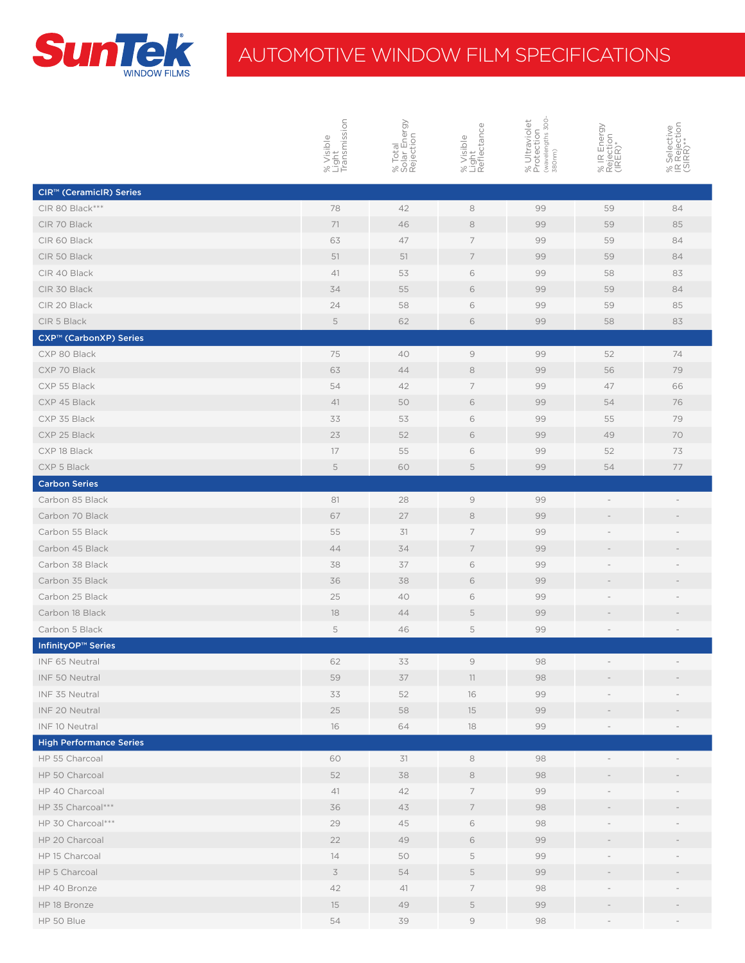

## AUTOMOTIVE WINDOW FILM SPECIFICATIONS

|                                      | % Visible<br>Light<br>Transmission | % Total<br>Solar Energy<br>Rejection | % Visible<br>Light<br>Reflectance                                                                                         | % Ultraviolet<br>Protection<br><sub>(wavelengths 300-</sub><br>380nm) | % IR Energy<br>Rejection<br>(IRER)* | % Selective<br>IR Rejection<br>(SIRR)** |
|--------------------------------------|------------------------------------|--------------------------------------|---------------------------------------------------------------------------------------------------------------------------|-----------------------------------------------------------------------|-------------------------------------|-----------------------------------------|
|                                      |                                    |                                      |                                                                                                                           |                                                                       |                                     |                                         |
| CIR <sup>™</sup> (CeramicIR) Series  |                                    |                                      |                                                                                                                           |                                                                       |                                     |                                         |
| CIR 80 Black***                      | 78                                 | 42                                   | $\rm 8$                                                                                                                   | 99                                                                    | 59                                  | 84                                      |
| CIR 70 Black                         | 71                                 | 46                                   | $\,$ 8 $\,$                                                                                                               | 99                                                                    | 59                                  | 85                                      |
| CIR 60 Black                         | 63                                 | 47                                   | 7                                                                                                                         | 99                                                                    | 59                                  | 84                                      |
| CIR 50 Black                         | 51                                 | 51                                   | $\overline{7}$                                                                                                            | 99                                                                    | 59                                  | 84                                      |
| CIR 40 Black                         | 41                                 | 53                                   | $\,$ $\,$ $\,$                                                                                                            | 99                                                                    | 58                                  | 83                                      |
| CIR 30 Black                         | 34                                 | 55                                   | $\mathsf{6}$                                                                                                              | 99                                                                    | 59                                  | 84                                      |
| CIR 20 Black                         | 24                                 | 58                                   | $\,$ $\,$ $\,$                                                                                                            | 99                                                                    | 59                                  | 85                                      |
| CIR 5 Black                          | 5                                  | 62                                   | $\,$ 6                                                                                                                    | 99                                                                    | 58                                  | 83                                      |
| CXP™ (CarbonXP) Series               |                                    |                                      |                                                                                                                           |                                                                       |                                     |                                         |
| CXP 80 Black                         | 75                                 | 40                                   | $\Theta$                                                                                                                  | 99                                                                    | 52                                  | 74                                      |
| CXP 70 Black                         | 63                                 | 44                                   | 8                                                                                                                         | 99                                                                    | 56                                  | 79                                      |
| CXP 55 Black                         | 54                                 | 42                                   | $\overline{7}$                                                                                                            | 99                                                                    | 47                                  | 66                                      |
| CXP 45 Black                         | 41                                 | 50                                   | $\,$ 6 $\,$                                                                                                               | 99                                                                    | 54                                  | 76                                      |
| CXP 35 Black                         | 33                                 | 53                                   | $\,$ $\,$ $\,$                                                                                                            | 99                                                                    | 55                                  | 79                                      |
| CXP 25 Black                         | 23                                 | 52                                   | $\,$ $\,$ $\,$                                                                                                            | 99                                                                    | 49                                  | 70                                      |
| CXP 18 Black                         | 17                                 | 55                                   | 6                                                                                                                         | 99                                                                    | 52                                  | 73                                      |
| CXP 5 Black                          | 5                                  | 60                                   | $\mathsf S$                                                                                                               | 99                                                                    | 54                                  | 77                                      |
| <b>Carbon Series</b>                 |                                    |                                      |                                                                                                                           |                                                                       |                                     |                                         |
| Carbon 85 Black                      | 81                                 | 28                                   | $\mathcal{G}$                                                                                                             | 99                                                                    |                                     |                                         |
| Carbon 70 Black                      | 67                                 | 27                                   | 8                                                                                                                         | 99                                                                    |                                     |                                         |
| Carbon 55 Black                      | 55                                 | 31                                   | $\overline{7}$                                                                                                            | 99                                                                    |                                     |                                         |
| Carbon 45 Black                      | 44                                 | 34                                   | $\overline{7}$                                                                                                            | 99                                                                    |                                     |                                         |
| Carbon 38 Black                      | 38                                 | 37                                   | $\,$ $\,$ $\,$                                                                                                            | 99                                                                    |                                     |                                         |
| Carbon 35 Black                      | 36                                 | 38                                   | $\,$ $\,$ $\,$                                                                                                            | 99                                                                    |                                     |                                         |
| Carbon 25 Black                      | 25                                 | 40                                   | 6                                                                                                                         | 99                                                                    |                                     |                                         |
| Carbon 18 Black                      | 18                                 | 44                                   | $\mathsf S$                                                                                                               | 99                                                                    |                                     |                                         |
| Carbon 5 Black                       | 5                                  | 46                                   | 5                                                                                                                         | 99                                                                    |                                     |                                         |
| <b>InfinityOP<sup>™</sup> Series</b> |                                    |                                      |                                                                                                                           |                                                                       |                                     |                                         |
| INF 65 Neutral                       | 62                                 | 33                                   | 9                                                                                                                         | 98                                                                    |                                     |                                         |
| INF 50 Neutral                       | 59                                 | 37                                   | 11                                                                                                                        | 98                                                                    |                                     |                                         |
| INF 35 Neutral                       | 33                                 | 52                                   | 16                                                                                                                        | 99                                                                    |                                     |                                         |
| INF 20 Neutral                       | 25                                 | 58                                   | 15                                                                                                                        | 99                                                                    |                                     |                                         |
| INF 10 Neutral                       | 16                                 | 64                                   | 18                                                                                                                        | 99                                                                    |                                     |                                         |
| <b>High Performance Series</b>       |                                    |                                      |                                                                                                                           |                                                                       |                                     |                                         |
| HP 55 Charcoal                       | 60                                 | 31                                   | 8                                                                                                                         | 98                                                                    |                                     |                                         |
| HP 50 Charcoal                       | 52                                 | 38                                   | 8                                                                                                                         | 98                                                                    |                                     |                                         |
| HP 40 Charcoal                       | 41                                 | 42                                   | 7                                                                                                                         | 99                                                                    |                                     |                                         |
| HP 35 Charcoal***                    | 36                                 | 43                                   | $\overline{7}$                                                                                                            | 98                                                                    |                                     |                                         |
| HP 30 Charcoal***                    | 29                                 | 45                                   | 6                                                                                                                         | 98                                                                    |                                     |                                         |
| HP 20 Charcoal                       | 22                                 | 49                                   | $\,$ $\,$ $\,$                                                                                                            | 99                                                                    |                                     |                                         |
| HP 15 Charcoal                       | 14                                 | 50                                   | $\mathsf S$                                                                                                               | 99                                                                    |                                     |                                         |
| HP 5 Charcoal                        | $\preceq$                          | 54                                   | $\mathsf S$                                                                                                               | 99                                                                    |                                     |                                         |
| HP 40 Bronze                         | 42                                 | 41                                   | 7                                                                                                                         | 98                                                                    |                                     |                                         |
| HP 18 Bronze                         | 15                                 | 49                                   | $\mathsf S$                                                                                                               | 99                                                                    |                                     |                                         |
| HP 50 Blue                           | 54                                 | 39                                   | $\mathcal{G}% _{0}^{\prime}=\mathcal{G}_{\mathrm{C}}^{\prime}\!\left( \mathcal{G}_{\mathrm{C}}^{\prime}\right) ^{\prime}$ | 98                                                                    |                                     |                                         |